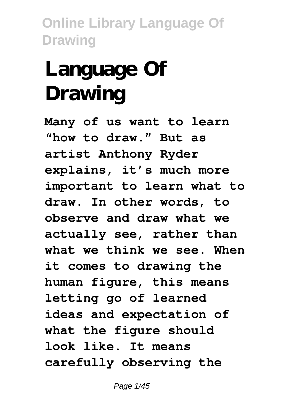# **Language Of Drawing**

**Many of us want to learn "how to draw." But as artist Anthony Ryder explains, it's much more important to learn what to draw. In other words, to observe and draw what we actually see, rather than what we think we see. When it comes to drawing the human figure, this means letting go of learned ideas and expectation of what the figure should look like. It means carefully observing the**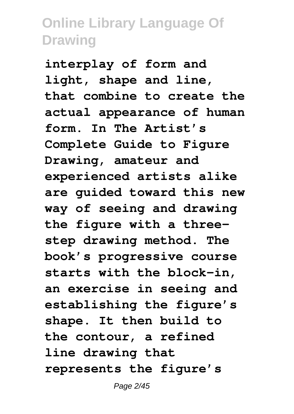**interplay of form and light, shape and line, that combine to create the actual appearance of human form. In The Artist's Complete Guide to Figure Drawing, amateur and experienced artists alike are guided toward this new way of seeing and drawing the figure with a threestep drawing method. The book's progressive course starts with the block-in, an exercise in seeing and establishing the figure's shape. It then build to the contour, a refined line drawing that represents the figure's**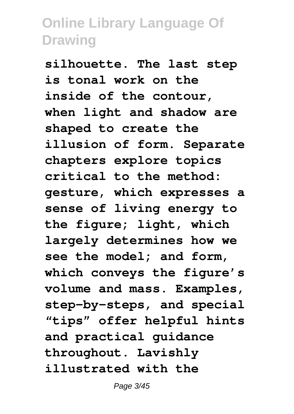**silhouette. The last step is tonal work on the inside of the contour, when light and shadow are shaped to create the illusion of form. Separate chapters explore topics critical to the method: gesture, which expresses a sense of living energy to the figure; light, which largely determines how we see the model; and form, which conveys the figure's volume and mass. Examples, step-by-steps, and special "tips" offer helpful hints and practical guidance throughout. Lavishly illustrated with the**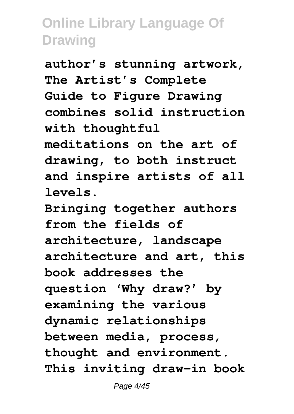**author's stunning artwork, The Artist's Complete Guide to Figure Drawing combines solid instruction with thoughtful meditations on the art of drawing, to both instruct and inspire artists of all**

**levels.**

**Bringing together authors from the fields of architecture, landscape architecture and art, this book addresses the question 'Why draw?' by examining the various dynamic relationships between media, process, thought and environment. This inviting draw-in book**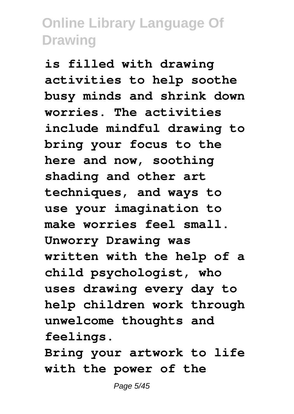**is filled with drawing activities to help soothe busy minds and shrink down worries. The activities include mindful drawing to bring your focus to the here and now, soothing shading and other art techniques, and ways to use your imagination to make worries feel small. Unworry Drawing was written with the help of a child psychologist, who uses drawing every day to help children work through unwelcome thoughts and feelings.**

**Bring your artwork to life with the power of the**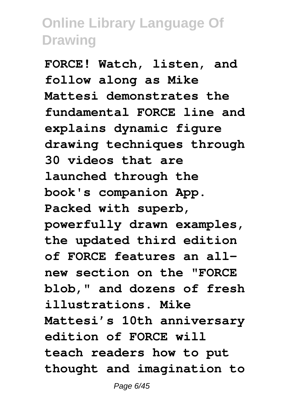**FORCE! Watch, listen, and follow along as Mike Mattesi demonstrates the fundamental FORCE line and explains dynamic figure drawing techniques through 30 videos that are launched through the book's companion App. Packed with superb, powerfully drawn examples, the updated third edition of FORCE features an allnew section on the "FORCE blob," and dozens of fresh illustrations. Mike Mattesi's 10th anniversary edition of FORCE will teach readers how to put thought and imagination to**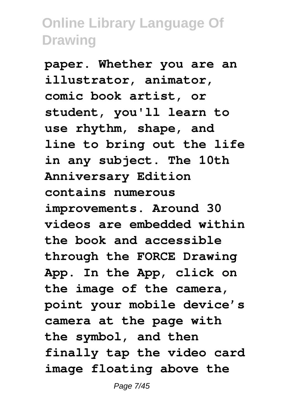**paper. Whether you are an illustrator, animator, comic book artist, or student, you'll learn to use rhythm, shape, and line to bring out the life in any subject. The 10th Anniversary Edition contains numerous improvements. Around 30 videos are embedded within the book and accessible through the FORCE Drawing App. In the App, click on the image of the camera, point your mobile device's camera at the page with the symbol, and then finally tap the video card image floating above the**

Page 7/45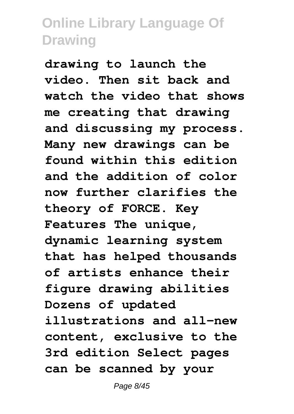**drawing to launch the video. Then sit back and watch the video that shows me creating that drawing and discussing my process. Many new drawings can be found within this edition and the addition of color now further clarifies the theory of FORCE. Key Features The unique, dynamic learning system that has helped thousands of artists enhance their figure drawing abilities Dozens of updated illustrations and all-new content, exclusive to the 3rd edition Select pages can be scanned by your**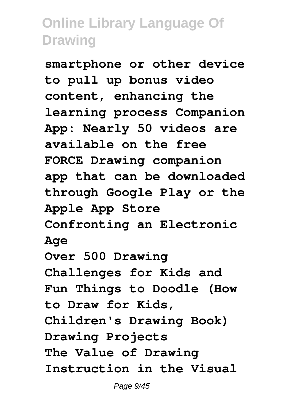**smartphone or other device to pull up bonus video content, enhancing the learning process Companion App: Nearly 50 videos are available on the free FORCE Drawing companion app that can be downloaded through Google Play or the Apple App Store Confronting an Electronic Age Over 500 Drawing Challenges for Kids and Fun Things to Doodle (How to Draw for Kids, Children's Drawing Book) Drawing Projects The Value of Drawing Instruction in the Visual**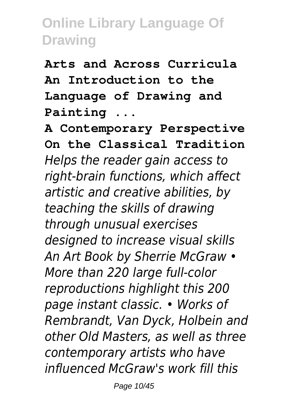**Arts and Across Curricula An Introduction to the Language of Drawing and Painting ...**

**A Contemporary Perspective On the Classical Tradition** *Helps the reader gain access to right-brain functions, which affect artistic and creative abilities, by teaching the skills of drawing through unusual exercises designed to increase visual skills An Art Book by Sherrie McGraw • More than 220 large full-color reproductions highlight this 200 page instant classic. • Works of Rembrandt, Van Dyck, Holbein and other Old Masters, as well as three contemporary artists who have influenced McGraw's work fill this*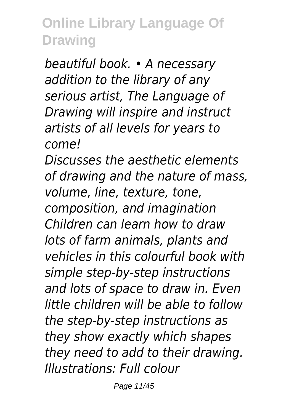*beautiful book. • A necessary addition to the library of any serious artist, The Language of Drawing will inspire and instruct artists of all levels for years to come!*

*Discusses the aesthetic elements of drawing and the nature of mass, volume, line, texture, tone, composition, and imagination Children can learn how to draw lots of farm animals, plants and vehicles in this colourful book with simple step-by-step instructions and lots of space to draw in. Even little children will be able to follow the step-by-step instructions as they show exactly which shapes they need to add to their drawing. Illustrations: Full colour*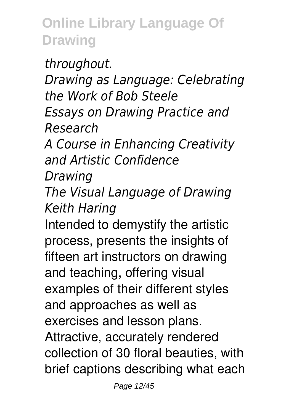*throughout.*

*Drawing as Language: Celebrating the Work of Bob Steele*

*Essays on Drawing Practice and Research*

*A Course in Enhancing Creativity and Artistic Confidence*

*Drawing*

*The Visual Language of Drawing Keith Haring*

Intended to demystify the artistic process, presents the insights of fifteen art instructors on drawing and teaching, offering visual examples of their different styles and approaches as well as exercises and lesson plans. Attractive, accurately rendered collection of 30 floral beauties, with brief captions describing what each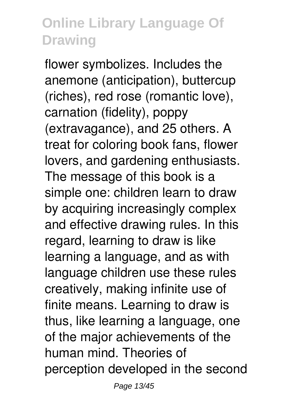flower symbolizes. Includes the anemone (anticipation), buttercup (riches), red rose (romantic love), carnation (fidelity), poppy (extravagance), and 25 others. A treat for coloring book fans, flower lovers, and gardening enthusiasts. The message of this book is a simple one: children learn to draw by acquiring increasingly complex and effective drawing rules. In this regard, learning to draw is like learning a language, and as with language children use these rules creatively, making infinite use of finite means. Learning to draw is thus, like learning a language, one of the major achievements of the human mind. Theories of perception developed in the second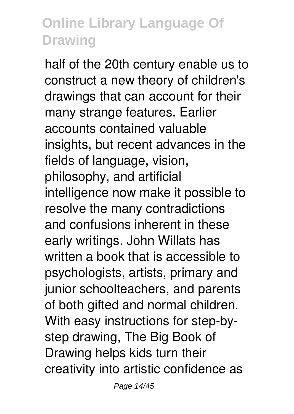half of the 20th century enable us to construct a new theory of children's drawings that can account for their many strange features. Earlier accounts contained valuable insights, but recent advances in the fields of language, vision, philosophy, and artificial intelligence now make it possible to resolve the many contradictions and confusions inherent in these early writings. John Willats has written a book that is accessible to psychologists, artists, primary and junior schoolteachers, and parents of both gifted and normal children. With easy instructions for step-bystep drawing, The Big Book of Drawing helps kids turn their creativity into artistic confidence as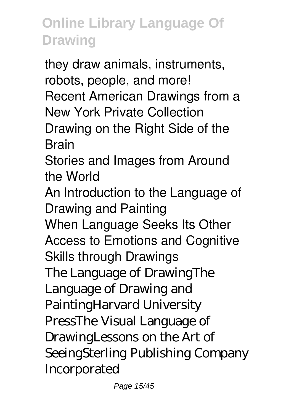they draw animals, instruments, robots, people, and more! Recent American Drawings from a New York Private Collection Drawing on the Right Side of the Brain Stories and Images from Around the World An Introduction to the Language of Drawing and Painting When Language Seeks Its Other Access to Emotions and Cognitive Skills through Drawings The Language of DrawingThe Language of Drawing and PaintingHarvard University PressThe Visual Language of DrawingLessons on the Art of SeeingSterling Publishing Company Incorporated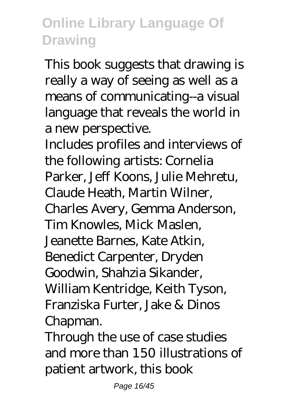This book suggests that drawing is really a way of seeing as well as a means of communicating--a visual language that reveals the world in a new perspective.

Includes profiles and interviews of the following artists: Cornelia Parker, Jeff Koons, Julie Mehretu, Claude Heath, Martin Wilner, Charles Avery, Gemma Anderson, Tim Knowles, Mick Maslen, Jeanette Barnes, Kate Atkin, Benedict Carpenter, Dryden Goodwin, Shahzia Sikander, William Kentridge, Keith Tyson, Franziska Furter, Jake & Dinos Chapman.

Through the use of case studies and more than 150 illustrations of patient artwork, this book

Page 16/45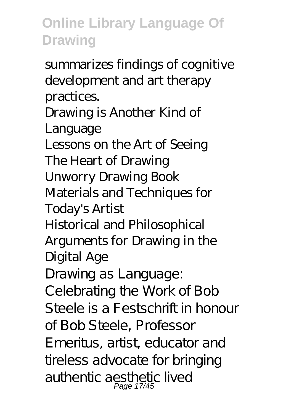summarizes findings of cognitive development and art therapy practices. Drawing is Another Kind of Language Lessons on the Art of Seeing The Heart of Drawing Unworry Drawing Book Materials and Techniques for Today's Artist Historical and Philosophical Arguments for Drawing in the Digital Age Drawing as Language: Celebrating the Work of Bob Steele is a Festschrift in honour of Bob Steele, Professor Emeritus, artist, educator and tireless advocate for bringing authentic aesthetic lived<br>Page 17/45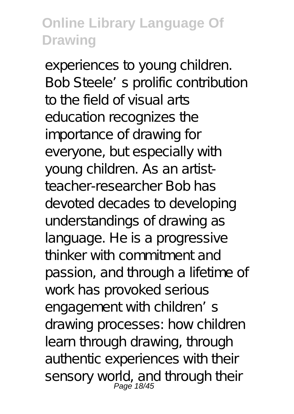experiences to young children. Bob Steele's prolific contribution to the field of visual arts education recognizes the importance of drawing for everyone, but especially with young children. As an artistteacher-researcher Bob has devoted decades to developing understandings of drawing as language. He is a progressive thinker with commitment and passion, and through a lifetime of work has provoked serious engagement with children's drawing processes: how children learn through drawing, through authentic experiences with their sensory world, and through their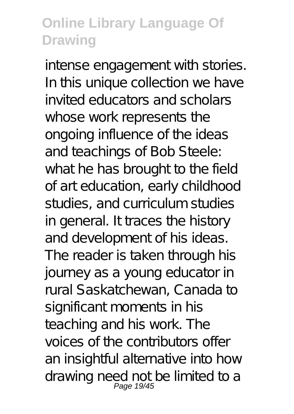intense engagement with stories. In this unique collection we have invited educators and scholars whose work represents the ongoing influence of the ideas and teachings of Bob Steele: what he has brought to the field of art education, early childhood studies, and curriculum studies in general. It traces the history and development of his ideas. The reader is taken through his journey as a young educator in rural Saskatchewan, Canada to significant moments in his teaching and his work. The voices of the contributors offer an insightful alternative into how drawing need not be limited to a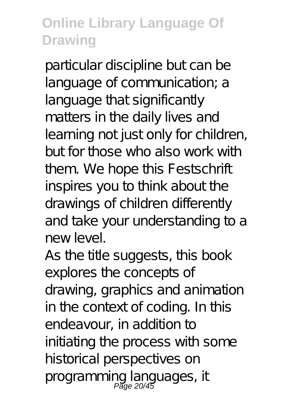particular discipline but can be language of communication; a language that significantly matters in the daily lives and learning not just only for children, but for those who also work with them. We hope this Festschrift inspires you to think about the drawings of children differently and take your understanding to a new level.

As the title suggests, this book explores the concepts of drawing, graphics and animation in the context of coding. In this endeavour, in addition to initiating the process with some historical perspectives on programming languages, it Page 20/45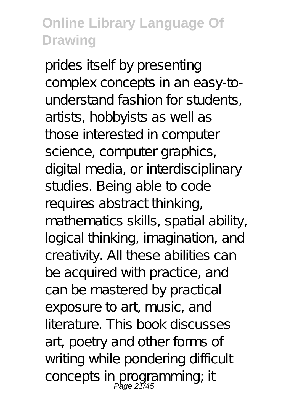prides itself by presenting complex concepts in an easy-tounderstand fashion for students, artists, hobbyists as well as those interested in computer science, computer graphics, digital media, or interdisciplinary studies. Being able to code requires abstract thinking, mathematics skills, spatial ability, logical thinking, imagination, and creativity. All these abilities can be acquired with practice, and can be mastered by practical exposure to art, music, and literature. This book discusses art, poetry and other forms of writing while pondering difficult concepts in programming; it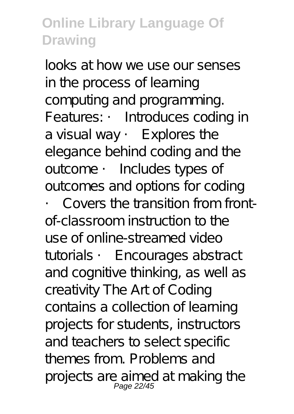looks at how we use our senses in the process of learning computing and programming. Features: · Introduces coding in a visual way  $\cdot$  Explores the elegance behind coding and the outcome · Includes types of outcomes and options for coding Covers the transition from frontof-classroom instruction to the use of online-streamed video tutorials · Encourages abstract and cognitive thinking, as well as creativity The Art of Coding contains a collection of learning projects for students, instructors and teachers to select specific themes from. Problems and projects are aimed at making the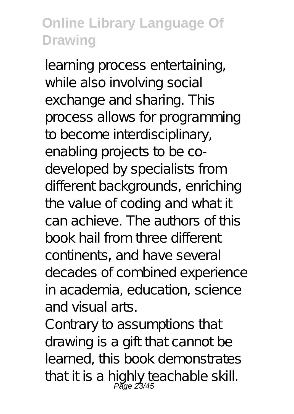learning process entertaining, while also involving social exchange and sharing. This process allows for programming to become interdisciplinary, enabling projects to be codeveloped by specialists from different backgrounds, enriching the value of coding and what it can achieve. The authors of this book hail from three different continents, and have several decades of combined experience in academia, education, science and visual arts.

Contrary to assumptions that drawing is a gift that cannot be learned, this book demonstrates that it is a highly teachable skill. Page 23/45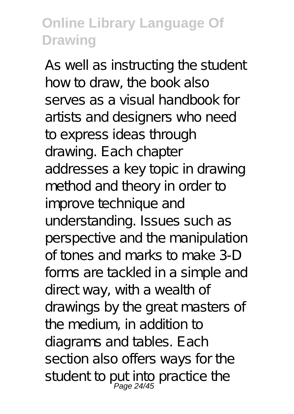As well as instructing the student how to draw, the book also serves as a visual handbook for artists and designers who need to express ideas through drawing. Each chapter addresses a key topic in drawing method and theory in order to improve technique and understanding. Issues such as perspective and the manipulation of tones and marks to make 3-D forms are tackled in a simple and direct way, with a wealth of drawings by the great masters of the medium, in addition to diagrams and tables. Each section also offers ways for the student to put into practice the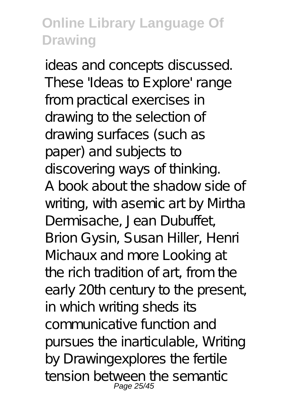ideas and concepts discussed. These 'Ideas to Explore' range from practical exercises in drawing to the selection of drawing surfaces (such as paper) and subjects to discovering ways of thinking. A book about the shadow side of writing, with asemic art by Mirtha Dermisache, Jean Dubuffet, Brion Gysin, Susan Hiller, Henri Michaux and more Looking at the rich tradition of art, from the early 20th century to the present, in which writing sheds its communicative function and pursues the inarticulable, Writing by Drawingexplores the fertile tension between the semantic Page 25/45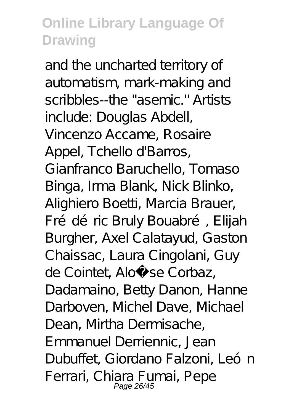and the uncharted territory of automatism, mark-making and scribbles--the "asemic." Artists include: Douglas Abdell, Vincenzo Accame, Rosaire Appel, Tchello d'Barros, Gianfranco Baruchello, Tomaso Binga, Irma Blank, Nick Blinko, Alighiero Boetti, Marcia Brauer, Frédéric Bruly Bouabré, Elijah Burgher, Axel Calatayud, Gaston Chaissac, Laura Cingolani, Guy de Cointet, Aloï se Corbaz, Dadamaino, Betty Danon, Hanne Darboven, Michel Dave, Michael Dean, Mirtha Dermisache, Emmanuel Derriennic, Jean Dubuffet, Giordano Falzoni, León Ferrari, Chiara Fumai, Pepe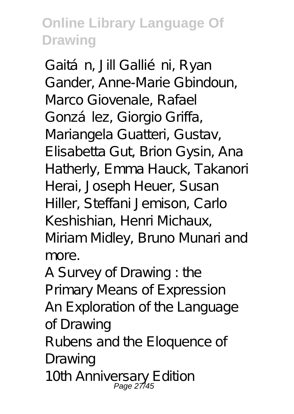Gaitán, Jill Galliéni, Ryan Gander, Anne-Marie Gbindoun, Marco Giovenale, Rafael González, Giorgio Griffa, Mariangela Guatteri, Gustav, Elisabetta Gut, Brion Gysin, Ana Hatherly, Emma Hauck, Takanori Herai, Joseph Heuer, Susan Hiller, Steffani Jemison, Carlo Keshishian, Henri Michaux, Miriam Midley, Bruno Munari and more.

A Survey of Drawing : the Primary Means of Expression An Exploration of the Language of Drawing Rubens and the Eloquence of **Drawing** 10th Anniversary Edition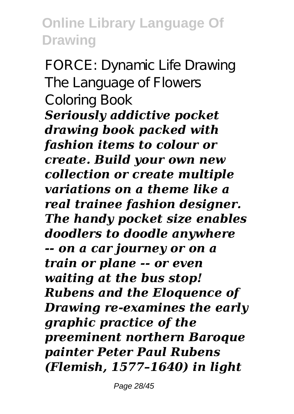FORCE: Dynamic Life Drawing The Language of Flowers Coloring Book

*Seriously addictive pocket drawing book packed with fashion items to colour or create. Build your own new collection or create multiple variations on a theme like a real trainee fashion designer. The handy pocket size enables doodlers to doodle anywhere -- on a car journey or on a train or plane -- or even waiting at the bus stop! Rubens and the Eloquence of Drawing re-examines the early graphic practice of the preeminent northern Baroque painter Peter Paul Rubens (Flemish, 1577–1640) in light*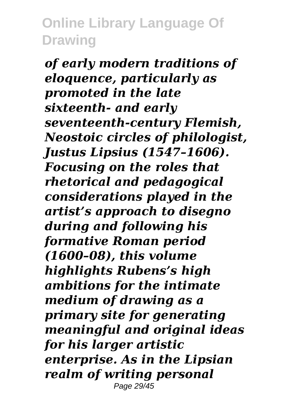*of early modern traditions of eloquence, particularly as promoted in the late sixteenth- and early seventeenth-century Flemish, Neostoic circles of philologist, Justus Lipsius (1547–1606). Focusing on the roles that rhetorical and pedagogical considerations played in the artist's approach to disegno during and following his formative Roman period (1600–08), this volume highlights Rubens's high ambitions for the intimate medium of drawing as a primary site for generating meaningful and original ideas for his larger artistic enterprise. As in the Lipsian realm of writing personal* Page 29/45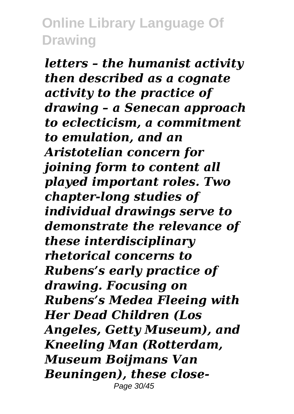*letters – the humanist activity then described as a cognate activity to the practice of drawing – a Senecan approach to eclecticism, a commitment to emulation, and an Aristotelian concern for joining form to content all played important roles. Two chapter-long studies of individual drawings serve to demonstrate the relevance of these interdisciplinary rhetorical concerns to Rubens's early practice of drawing. Focusing on Rubens's Medea Fleeing with Her Dead Children (Los Angeles, Getty Museum), and Kneeling Man (Rotterdam, Museum Boijmans Van Beuningen), these close-*Page 30/45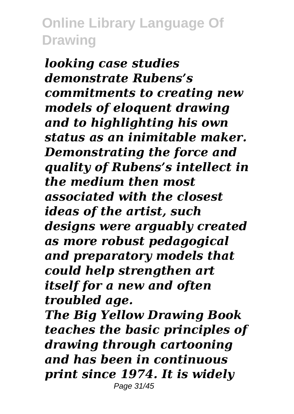*looking case studies demonstrate Rubens's commitments to creating new models of eloquent drawing and to highlighting his own status as an inimitable maker. Demonstrating the force and quality of Rubens's intellect in the medium then most associated with the closest ideas of the artist, such designs were arguably created as more robust pedagogical and preparatory models that could help strengthen art itself for a new and often troubled age.*

*The Big Yellow Drawing Book teaches the basic principles of drawing through cartooning and has been in continuous print since 1974. It is widely* Page 31/45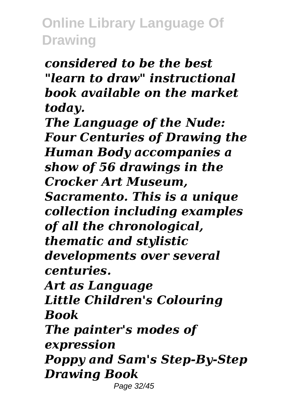*considered to be the best "learn to draw" instructional book available on the market today.*

*The Language of the Nude: Four Centuries of Drawing the Human Body accompanies a show of 56 drawings in the Crocker Art Museum, Sacramento. This is a unique collection including examples of all the chronological, thematic and stylistic developments over several centuries. Art as Language Little Children's Colouring Book*

*The painter's modes of expression*

*Poppy and Sam's Step-By-Step Drawing Book*

Page 32/45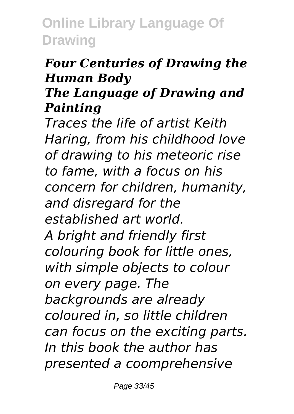#### *Four Centuries of Drawing the Human Body*

#### *The Language of Drawing and Painting*

*Traces the life of artist Keith Haring, from his childhood love of drawing to his meteoric rise to fame, with a focus on his concern for children, humanity, and disregard for the established art world. A bright and friendly first colouring book for little ones, with simple objects to colour on every page. The backgrounds are already coloured in, so little children can focus on the exciting parts. In this book the author has presented a coomprehensive*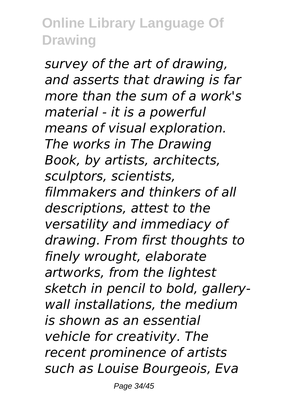*survey of the art of drawing, and asserts that drawing is far more than the sum of a work's material - it is a powerful means of visual exploration. The works in The Drawing Book, by artists, architects, sculptors, scientists, filmmakers and thinkers of all descriptions, attest to the versatility and immediacy of drawing. From first thoughts to finely wrought, elaborate artworks, from the lightest sketch in pencil to bold, gallerywall installations, the medium is shown as an essential vehicle for creativity. The recent prominence of artists such as Louise Bourgeois, Eva*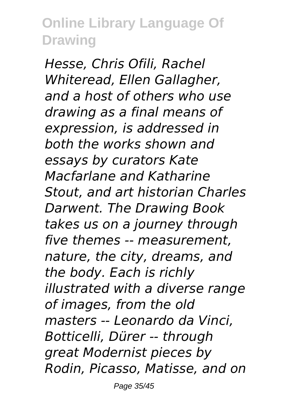*Hesse, Chris Ofili, Rachel Whiteread, Ellen Gallagher, and a host of others who use drawing as a final means of expression, is addressed in both the works shown and essays by curators Kate Macfarlane and Katharine Stout, and art historian Charles Darwent. The Drawing Book takes us on a journey through five themes -- measurement, nature, the city, dreams, and the body. Each is richly illustrated with a diverse range of images, from the old masters -- Leonardo da Vinci, Botticelli, Dürer -- through great Modernist pieces by Rodin, Picasso, Matisse, and on*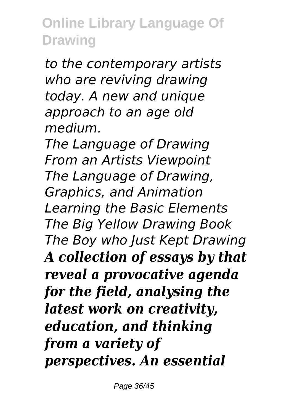*to the contemporary artists who are reviving drawing today. A new and unique approach to an age old medium.*

*The Language of Drawing From an Artists Viewpoint The Language of Drawing, Graphics, and Animation Learning the Basic Elements The Big Yellow Drawing Book The Boy who Just Kept Drawing A collection of essays by that reveal a provocative agenda for the field, analysing the latest work on creativity, education, and thinking from a variety of perspectives. An essential*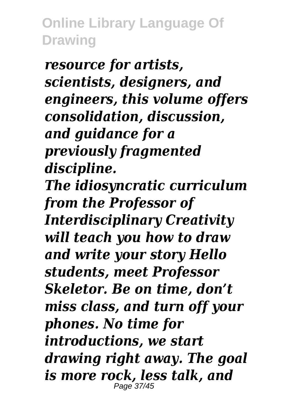*resource for artists, scientists, designers, and engineers, this volume offers consolidation, discussion, and guidance for a previously fragmented discipline. The idiosyncratic curriculum from the Professor of Interdisciplinary Creativity will teach you how to draw and write your story Hello students, meet Professor Skeletor. Be on time, don't miss class, and turn off your phones. No time for introductions, we start drawing right away. The goal is more rock, less talk, and* Page 37/45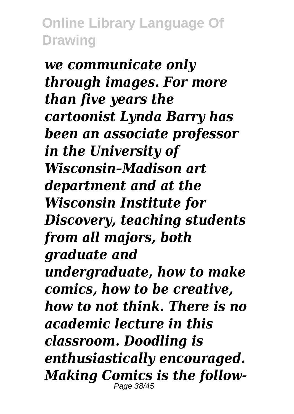*we communicate only through images. For more than five years the cartoonist Lynda Barry has been an associate professor in the University of Wisconsin–Madison art department and at the Wisconsin Institute for Discovery, teaching students from all majors, both graduate and undergraduate, how to make comics, how to be creative, how to not think. There is no academic lecture in this classroom. Doodling is enthusiastically encouraged. Making Comics is the follow-*Page 38/45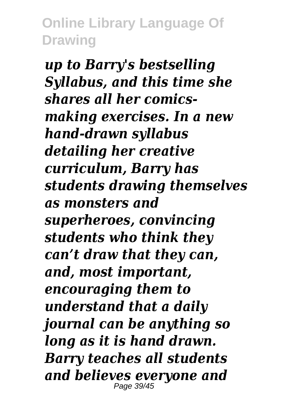*up to Barry's bestselling Syllabus, and this time she shares all her comicsmaking exercises. In a new hand-drawn syllabus detailing her creative curriculum, Barry has students drawing themselves as monsters and superheroes, convincing students who think they can't draw that they can, and, most important, encouraging them to understand that a daily journal can be anything so long as it is hand drawn. Barry teaches all students and believes everyone and* Page 39/45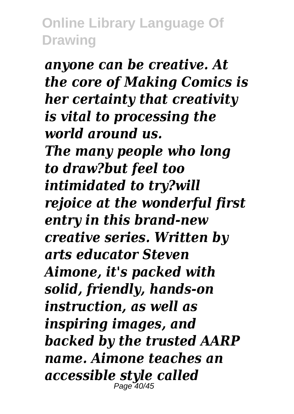*anyone can be creative. At the core of Making Comics is her certainty that creativity is vital to processing the world around us. The many people who long to draw?but feel too intimidated to try?will rejoice at the wonderful first entry in this brand-new creative series. Written by arts educator Steven Aimone, it's packed with solid, friendly, hands-on instruction, as well as inspiring images, and backed by the trusted AARP name. Aimone teaches an accessible style called* Page 40/45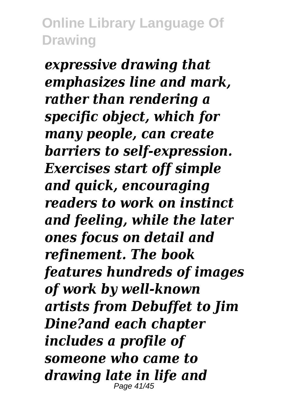*expressive drawing that emphasizes line and mark, rather than rendering a specific object, which for many people, can create barriers to self-expression. Exercises start off simple and quick, encouraging readers to work on instinct and feeling, while the later ones focus on detail and refinement. The book features hundreds of images of work by well-known artists from Debuffet to Jim Dine?and each chapter includes a profile of someone who came to drawing late in life and* Page 41/45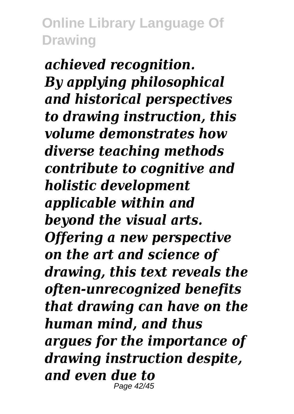*achieved recognition. By applying philosophical and historical perspectives to drawing instruction, this volume demonstrates how diverse teaching methods contribute to cognitive and holistic development applicable within and beyond the visual arts. Offering a new perspective on the art and science of drawing, this text reveals the often-unrecognized benefits that drawing can have on the human mind, and thus argues for the importance of drawing instruction despite, and even due to* Page 42/45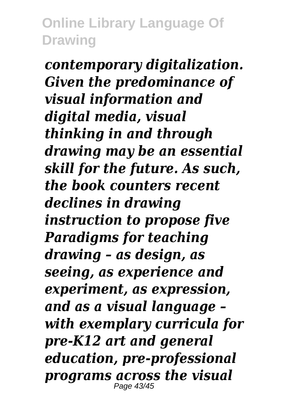*contemporary digitalization. Given the predominance of visual information and digital media, visual thinking in and through drawing may be an essential skill for the future. As such, the book counters recent declines in drawing instruction to propose five Paradigms for teaching drawing – as design, as seeing, as experience and experiment, as expression, and as a visual language – with exemplary curricula for pre-K12 art and general education, pre-professional programs across the visual* Page 43/45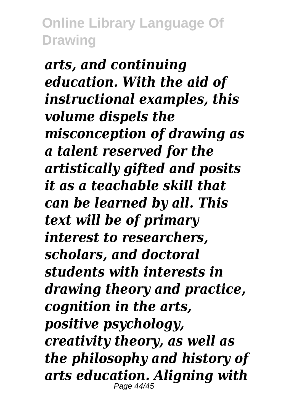*arts, and continuing education. With the aid of instructional examples, this volume dispels the misconception of drawing as a talent reserved for the artistically gifted and posits it as a teachable skill that can be learned by all. This text will be of primary interest to researchers, scholars, and doctoral students with interests in drawing theory and practice, cognition in the arts, positive psychology, creativity theory, as well as the philosophy and history of arts education. Aligning with* Page 44/45